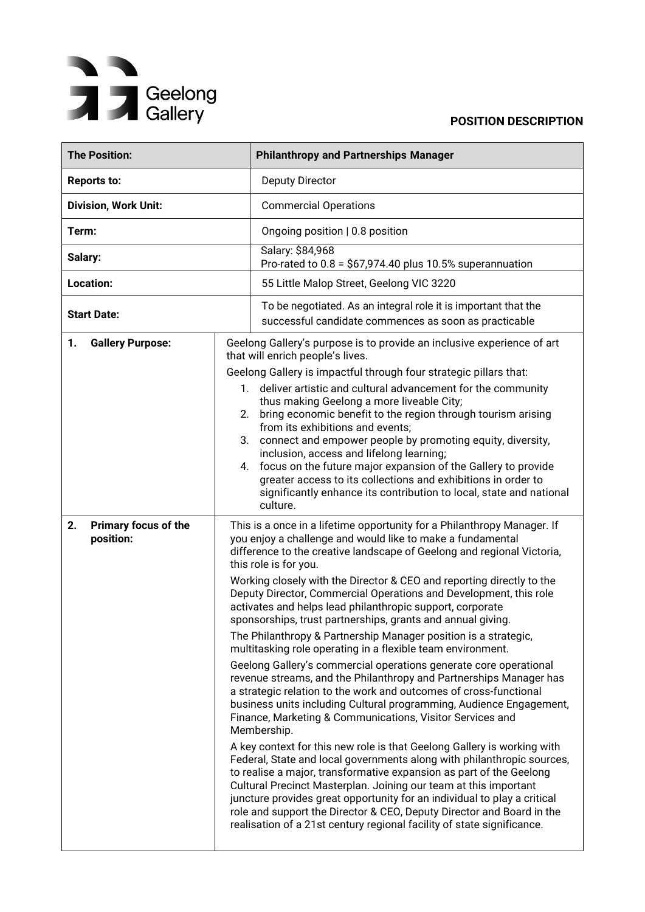# Geelong<br>
Gallery

| <b>The Position:</b>                                        |                         | <b>Philanthropy and Partnerships Manager</b>                                                                                                                                                                                                                                                                                                                                                                                                                                                                                                                                                                                                                                                                                                                                                                                                                                                                                                                                                                                                                                                                                                                                                                                                                                                                                                                                                                                                                                |
|-------------------------------------------------------------|-------------------------|-----------------------------------------------------------------------------------------------------------------------------------------------------------------------------------------------------------------------------------------------------------------------------------------------------------------------------------------------------------------------------------------------------------------------------------------------------------------------------------------------------------------------------------------------------------------------------------------------------------------------------------------------------------------------------------------------------------------------------------------------------------------------------------------------------------------------------------------------------------------------------------------------------------------------------------------------------------------------------------------------------------------------------------------------------------------------------------------------------------------------------------------------------------------------------------------------------------------------------------------------------------------------------------------------------------------------------------------------------------------------------------------------------------------------------------------------------------------------------|
| <b>Reports to:</b>                                          |                         | <b>Deputy Director</b>                                                                                                                                                                                                                                                                                                                                                                                                                                                                                                                                                                                                                                                                                                                                                                                                                                                                                                                                                                                                                                                                                                                                                                                                                                                                                                                                                                                                                                                      |
| <b>Division, Work Unit:</b>                                 |                         | <b>Commercial Operations</b>                                                                                                                                                                                                                                                                                                                                                                                                                                                                                                                                                                                                                                                                                                                                                                                                                                                                                                                                                                                                                                                                                                                                                                                                                                                                                                                                                                                                                                                |
| Term:                                                       |                         | Ongoing position   0.8 position                                                                                                                                                                                                                                                                                                                                                                                                                                                                                                                                                                                                                                                                                                                                                                                                                                                                                                                                                                                                                                                                                                                                                                                                                                                                                                                                                                                                                                             |
| Salary:                                                     |                         | Salary: \$84,968<br>Pro-rated to $0.8 = $67,974.40$ plus 10.5% superannuation                                                                                                                                                                                                                                                                                                                                                                                                                                                                                                                                                                                                                                                                                                                                                                                                                                                                                                                                                                                                                                                                                                                                                                                                                                                                                                                                                                                               |
| Location:                                                   |                         | 55 Little Malop Street, Geelong VIC 3220                                                                                                                                                                                                                                                                                                                                                                                                                                                                                                                                                                                                                                                                                                                                                                                                                                                                                                                                                                                                                                                                                                                                                                                                                                                                                                                                                                                                                                    |
| <b>Start Date:</b>                                          |                         | To be negotiated. As an integral role it is important that the<br>successful candidate commences as soon as practicable                                                                                                                                                                                                                                                                                                                                                                                                                                                                                                                                                                                                                                                                                                                                                                                                                                                                                                                                                                                                                                                                                                                                                                                                                                                                                                                                                     |
| <b>Gallery Purpose:</b><br>1.<br>2.<br>Primary focus of the | $1_{\cdot}$<br>2.<br>4. | Geelong Gallery's purpose is to provide an inclusive experience of art<br>that will enrich people's lives.<br>Geelong Gallery is impactful through four strategic pillars that:<br>deliver artistic and cultural advancement for the community<br>thus making Geelong a more liveable City;<br>bring economic benefit to the region through tourism arising<br>from its exhibitions and events;<br>3. connect and empower people by promoting equity, diversity,<br>inclusion, access and lifelong learning;<br>focus on the future major expansion of the Gallery to provide<br>greater access to its collections and exhibitions in order to<br>significantly enhance its contribution to local, state and national<br>culture.<br>This is a once in a lifetime opportunity for a Philanthropy Manager. If                                                                                                                                                                                                                                                                                                                                                                                                                                                                                                                                                                                                                                                                |
| position:                                                   |                         | you enjoy a challenge and would like to make a fundamental<br>difference to the creative landscape of Geelong and regional Victoria,<br>this role is for you.<br>Working closely with the Director & CEO and reporting directly to the<br>Deputy Director, Commercial Operations and Development, this role<br>activates and helps lead philanthropic support, corporate<br>sponsorships, trust partnerships, grants and annual giving.<br>The Philanthropy & Partnership Manager position is a strategic,<br>multitasking role operating in a flexible team environment.<br>Geelong Gallery's commercial operations generate core operational<br>revenue streams, and the Philanthropy and Partnerships Manager has<br>a strategic relation to the work and outcomes of cross-functional<br>business units including Cultural programming, Audience Engagement,<br>Finance, Marketing & Communications, Visitor Services and<br>Membership.<br>A key context for this new role is that Geelong Gallery is working with<br>Federal, State and local governments along with philanthropic sources,<br>to realise a major, transformative expansion as part of the Geelong<br>Cultural Precinct Masterplan. Joining our team at this important<br>juncture provides great opportunity for an individual to play a critical<br>role and support the Director & CEO, Deputy Director and Board in the<br>realisation of a 21st century regional facility of state significance. |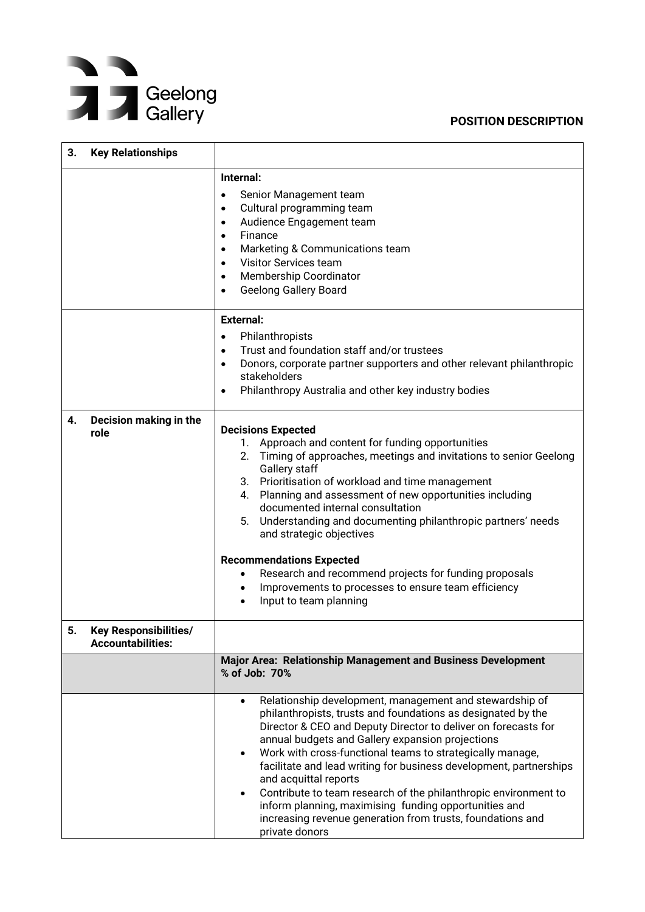

| 3. | <b>Key Relationships</b>                                 |                                                                                                                                                                                                                                                                                                                                                                                                                                                                                                                                                                                                                                                              |  |
|----|----------------------------------------------------------|--------------------------------------------------------------------------------------------------------------------------------------------------------------------------------------------------------------------------------------------------------------------------------------------------------------------------------------------------------------------------------------------------------------------------------------------------------------------------------------------------------------------------------------------------------------------------------------------------------------------------------------------------------------|--|
|    |                                                          | Internal:<br>Senior Management team<br>$\bullet$<br>Cultural programming team<br>٠<br>Audience Engagement team<br>٠<br>Finance<br>$\bullet$<br>Marketing & Communications team<br>٠<br><b>Visitor Services team</b><br>$\bullet$<br>Membership Coordinator<br>٠<br><b>Geelong Gallery Board</b><br>٠                                                                                                                                                                                                                                                                                                                                                         |  |
| 4. | Decision making in the                                   | <b>External:</b><br>Philanthropists<br>$\bullet$<br>Trust and foundation staff and/or trustees<br>$\bullet$<br>Donors, corporate partner supporters and other relevant philanthropic<br>$\bullet$<br>stakeholders<br>Philanthropy Australia and other key industry bodies<br>٠                                                                                                                                                                                                                                                                                                                                                                               |  |
|    | role                                                     | <b>Decisions Expected</b><br>1. Approach and content for funding opportunities<br>Timing of approaches, meetings and invitations to senior Geelong<br>2.<br>Gallery staff<br>3. Prioritisation of workload and time management<br>4. Planning and assessment of new opportunities including<br>documented internal consultation<br>5.<br>Understanding and documenting philanthropic partners' needs<br>and strategic objectives<br><b>Recommendations Expected</b><br>Research and recommend projects for funding proposals<br>Improvements to processes to ensure team efficiency<br>Input to team planning                                                |  |
| 5. | <b>Key Responsibilities/</b><br><b>Accountabilities:</b> |                                                                                                                                                                                                                                                                                                                                                                                                                                                                                                                                                                                                                                                              |  |
|    |                                                          | Major Area: Relationship Management and Business Development<br>% of Job: 70%                                                                                                                                                                                                                                                                                                                                                                                                                                                                                                                                                                                |  |
|    |                                                          | Relationship development, management and stewardship of<br>$\bullet$<br>philanthropists, trusts and foundations as designated by the<br>Director & CEO and Deputy Director to deliver on forecasts for<br>annual budgets and Gallery expansion projections<br>Work with cross-functional teams to strategically manage,<br>$\bullet$<br>facilitate and lead writing for business development, partnerships<br>and acquittal reports<br>Contribute to team research of the philanthropic environment to<br>$\bullet$<br>inform planning, maximising funding opportunities and<br>increasing revenue generation from trusts, foundations and<br>private donors |  |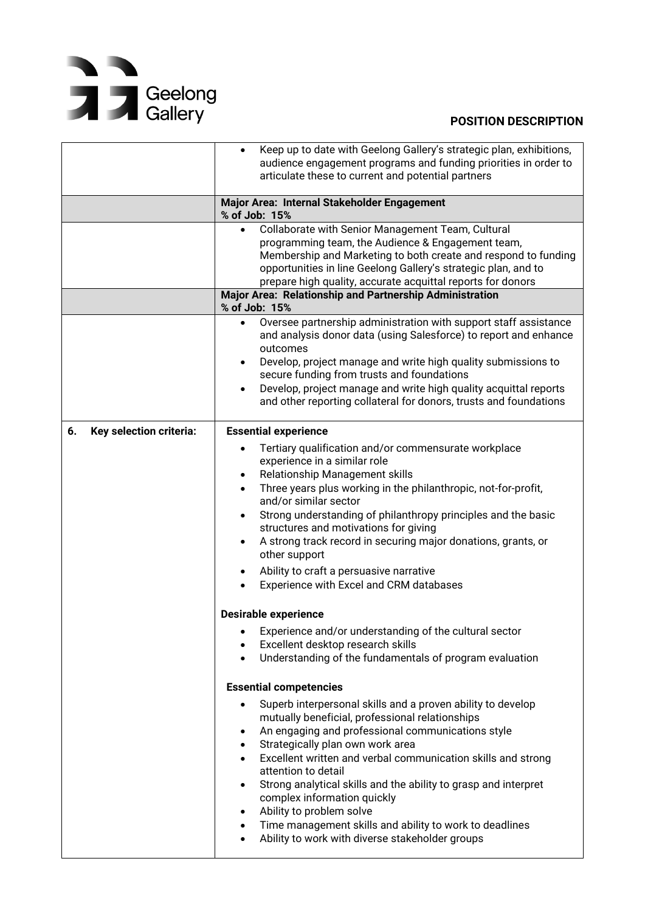## Geelong<br>
Sallery

|                               | Keep up to date with Geelong Gallery's strategic plan, exhibitions,<br>audience engagement programs and funding priorities in order to<br>articulate these to current and potential partners                                                                                                                                                                                                                                                                                                                                                                                                                                                                                                                                                                        |
|-------------------------------|---------------------------------------------------------------------------------------------------------------------------------------------------------------------------------------------------------------------------------------------------------------------------------------------------------------------------------------------------------------------------------------------------------------------------------------------------------------------------------------------------------------------------------------------------------------------------------------------------------------------------------------------------------------------------------------------------------------------------------------------------------------------|
|                               | Major Area: Internal Stakeholder Engagement<br>% of Job: 15%                                                                                                                                                                                                                                                                                                                                                                                                                                                                                                                                                                                                                                                                                                        |
|                               | Collaborate with Senior Management Team, Cultural<br>$\bullet$<br>programming team, the Audience & Engagement team,<br>Membership and Marketing to both create and respond to funding<br>opportunities in line Geelong Gallery's strategic plan, and to<br>prepare high quality, accurate acquittal reports for donors<br>Major Area: Relationship and Partnership Administration<br>% of Job: 15%<br>Oversee partnership administration with support staff assistance<br>$\bullet$<br>and analysis donor data (using Salesforce) to report and enhance<br>outcomes<br>Develop, project manage and write high quality submissions to<br>$\bullet$<br>secure funding from trusts and foundations<br>Develop, project manage and write high quality acquittal reports |
|                               | and other reporting collateral for donors, trusts and foundations                                                                                                                                                                                                                                                                                                                                                                                                                                                                                                                                                                                                                                                                                                   |
| Key selection criteria:<br>6. | <b>Essential experience</b><br>Tertiary qualification and/or commensurate workplace<br>experience in a similar role<br>Relationship Management skills<br>$\bullet$<br>Three years plus working in the philanthropic, not-for-profit,<br>and/or similar sector<br>Strong understanding of philanthropy principles and the basic<br>٠<br>structures and motivations for giving<br>A strong track record in securing major donations, grants, or<br>$\bullet$<br>other support<br>Ability to craft a persuasive narrative<br>Experience with Excel and CRM databases                                                                                                                                                                                                   |
|                               | <b>Desirable experience</b><br>Experience and/or understanding of the cultural sector<br>Excellent desktop research skills<br>Understanding of the fundamentals of program evaluation                                                                                                                                                                                                                                                                                                                                                                                                                                                                                                                                                                               |
|                               | <b>Essential competencies</b><br>Superb interpersonal skills and a proven ability to develop<br>mutually beneficial, professional relationships<br>An engaging and professional communications style<br>٠<br>Strategically plan own work area<br>$\bullet$<br>Excellent written and verbal communication skills and strong<br>attention to detail<br>Strong analytical skills and the ability to grasp and interpret<br>complex information quickly<br>Ability to problem solve<br>Time management skills and ability to work to deadlines<br>Ability to work with diverse stakeholder groups                                                                                                                                                                       |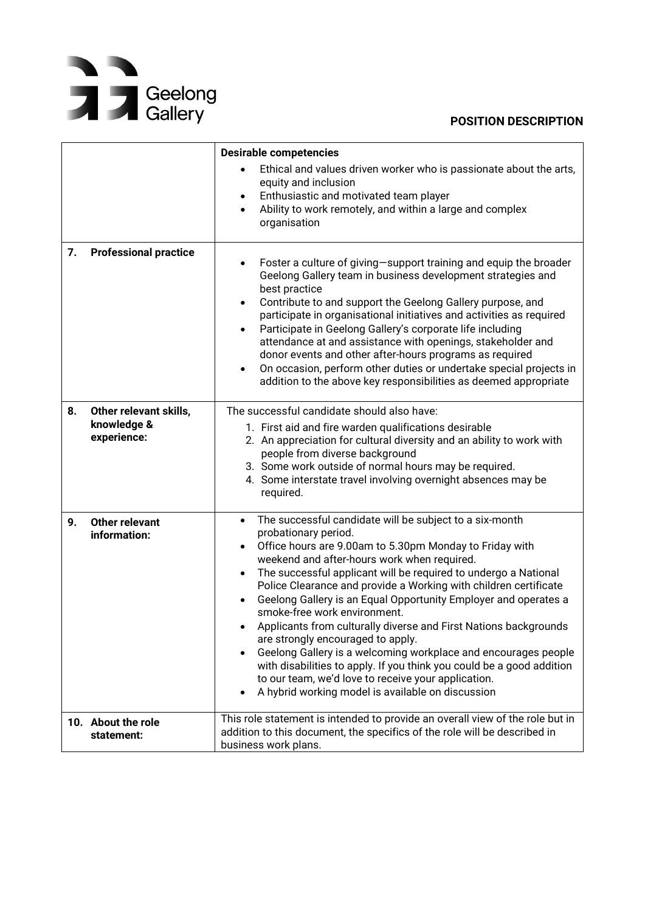## Geelong<br>
Sallery

|    |                                                      | <b>Desirable competencies</b><br>Ethical and values driven worker who is passionate about the arts,                                                                                                                                                                                                                                                                                                                                                                                                                                                                                                                                                                                                                                                                                                                                                     |
|----|------------------------------------------------------|---------------------------------------------------------------------------------------------------------------------------------------------------------------------------------------------------------------------------------------------------------------------------------------------------------------------------------------------------------------------------------------------------------------------------------------------------------------------------------------------------------------------------------------------------------------------------------------------------------------------------------------------------------------------------------------------------------------------------------------------------------------------------------------------------------------------------------------------------------|
|    |                                                      | equity and inclusion<br>Enthusiastic and motivated team player<br>$\bullet$<br>Ability to work remotely, and within a large and complex<br>organisation                                                                                                                                                                                                                                                                                                                                                                                                                                                                                                                                                                                                                                                                                                 |
| 7. | <b>Professional practice</b>                         | Foster a culture of giving-support training and equip the broader<br>٠<br>Geelong Gallery team in business development strategies and<br>best practice<br>Contribute to and support the Geelong Gallery purpose, and<br>participate in organisational initiatives and activities as required<br>Participate in Geelong Gallery's corporate life including<br>attendance at and assistance with openings, stakeholder and<br>donor events and other after-hours programs as required<br>On occasion, perform other duties or undertake special projects in<br>addition to the above key responsibilities as deemed appropriate                                                                                                                                                                                                                           |
| 8. | Other relevant skills,<br>knowledge &<br>experience: | The successful candidate should also have:<br>1. First aid and fire warden qualifications desirable<br>2. An appreciation for cultural diversity and an ability to work with<br>people from diverse background<br>3. Some work outside of normal hours may be required.<br>4. Some interstate travel involving overnight absences may be<br>required.                                                                                                                                                                                                                                                                                                                                                                                                                                                                                                   |
| 9. | <b>Other relevant</b><br>information:                | The successful candidate will be subject to a six-month<br>$\bullet$<br>probationary period.<br>Office hours are 9.00am to 5.30pm Monday to Friday with<br>$\bullet$<br>weekend and after-hours work when required.<br>The successful applicant will be required to undergo a National<br>$\bullet$<br>Police Clearance and provide a Working with children certificate<br>Geelong Gallery is an Equal Opportunity Employer and operates a<br>smoke-free work environment.<br>Applicants from culturally diverse and First Nations backgrounds<br>are strongly encouraged to apply.<br>Geelong Gallery is a welcoming workplace and encourages people<br>$\bullet$<br>with disabilities to apply. If you think you could be a good addition<br>to our team, we'd love to receive your application.<br>A hybrid working model is available on discussion |
|    | 10. About the role<br>statement:                     | This role statement is intended to provide an overall view of the role but in<br>addition to this document, the specifics of the role will be described in<br>business work plans.                                                                                                                                                                                                                                                                                                                                                                                                                                                                                                                                                                                                                                                                      |